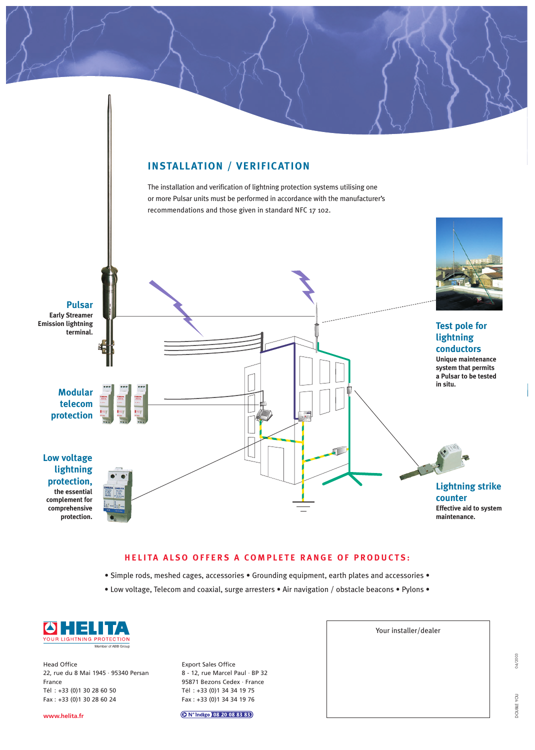

#### **HELITA ALSO OFFERS A COMPLETE RANGE OF PRODUCTS:**

- Simple rods, meshed cages, accessories Grounding equipment, earth plates and accessories •
- Low voltage, Telecom and coaxial, surge arresters Air navigation / obstacle beacons Pylons •



Head Office 22, rue du 8 Mai 1945 · 95340 Persan France Tél : +33 (0)1 30 28 60 50 Fax : +33 (0)1 30 28 60 24

**www.helita.fr**

Export Sales Office 8 - 12, rue Marcel Paul · BP 32 95871 Bezons Cedex · France Tél : +33 (0)1 34 34 19 75 Fax : +33 (0)1 34 34 19 76

O N° Indigo 08 20 08 83 83

Your installer/dealer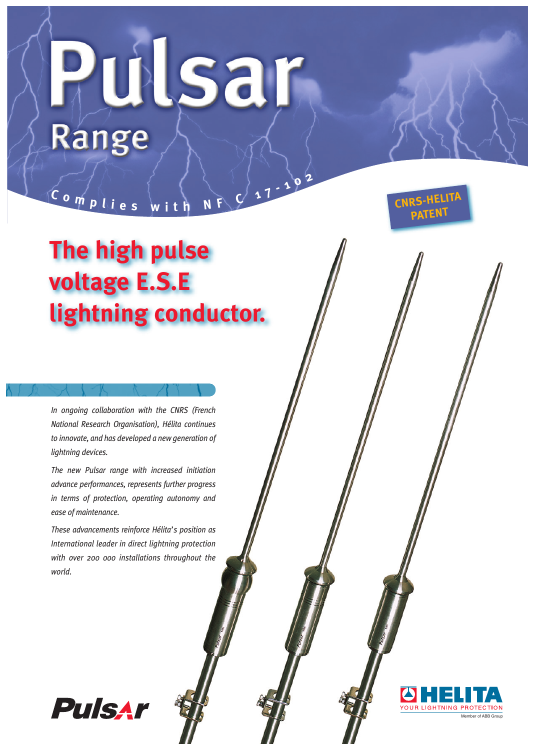# Pulsar Range

## **The high pulse voltage E.S.E lightning conductor.**

**<sup>C</sup> <sup>o</sup> <sup>m</sup> <sup>p</sup> <sup>l</sup> <sup>i</sup> <sup>e</sup> <sup>s</sup> <sup>w</sup> <sup>i</sup> <sup>t</sup> <sup>h</sup> <sup>N</sup> <sup>F</sup> <sup>C</sup> <sup>1</sup> <sup>7</sup> - <sup>1</sup> <sup>0</sup> <sup>2</sup>**

*In ongoing collaboration with the CNRS (French National Research Organisation), Hélita continues to innovate, and has developed a new generation of lightning devices.*

*The new Pulsar range with increased initiation advance performances, represents further progress in terms of protection, operating autonomy and ease of maintenance.*

*These advancements reinforce Hélita's position as International leader in direct lightning protection with over 200 000 installations throughout the world.*





Member of ABB Group

**CNRS-HELITA PATENT**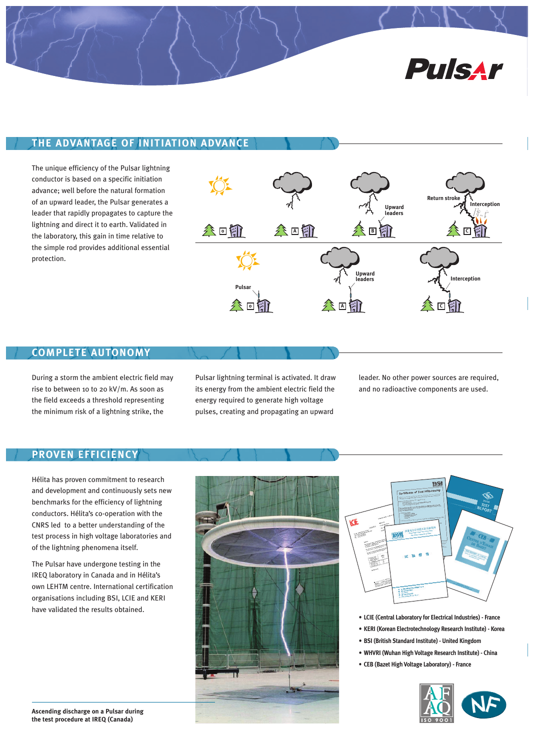

#### **THE ADVANTAGE OF INITIATION ADVANCE**

The unique efficiency of the Pulsar lightning conductor is based on a specific initiation advance; well before the natural formation of an upward leader, the Pulsar generates a leader that rapidly propagates to capture the lightning and direct it to earth. Validated in the laboratory, this gain in time relative to the simple rod provides additional essential protection.



#### **COMPLETE AUTONOMY**

During a storm the ambient electric field may rise to between 10 to 20 kV/m. As soon as the field exceeds a threshold representing the minimum risk of a lightning strike, the

Pulsar lightning terminal is activated. It draw its energy from the ambient electric field the energy required to generate high voltage pulses, creating and propagating an upward

leader. No other power sources are required, and no radioactive components are used.

#### **PROVEN EFFICIENCY**

Hélita has proven commitment to research and development and continuously sets new benchmarks for the efficiency of lightning conductors. Hélita's co-operation with the CNRS led to a better understanding of the test process in high voltage laboratories and of the lightning phenomena itself.

The Pulsar have undergone testing in the IREQ laboratory in Canada and in Hélita's own LEHTM centre. International certification organisations including BSI, LCIE and KERI have validated the results obtained.





- **• LCIE (Central Laboratory for Electrical Industries) France**
- **• KERI (Korean Electrotechnology Research Institute) Korea**
- **• BSI (British Standard Institute) United Kingdom**
- **• WHVRI (Wuhan High Voltage Research Institute) China**
- **• CEB (Bazet High Voltage Laboratory) France**